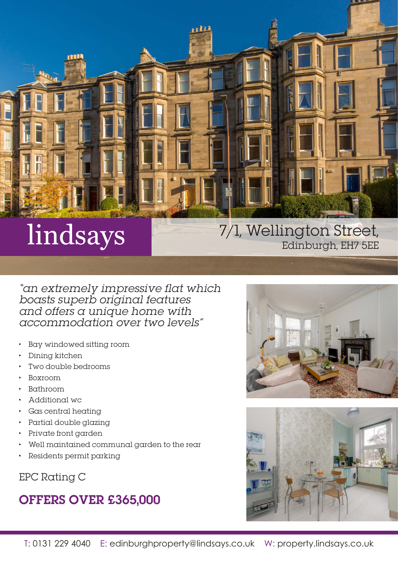

"an extremely impressive flat which boasts superb original features and offers a unique home with accommodation over two levels"

- Bay windowed sitting room
- Dining kitchen
- Two double bedrooms
- Boxroom
- Bathroom
- Additional wc
- Gas central heating
- Partial double glazing
- Private front garden
- Well maintained communal garden to the rear
- Residents permit parking

EPC Rating C

# OFFERS OVER £365,000